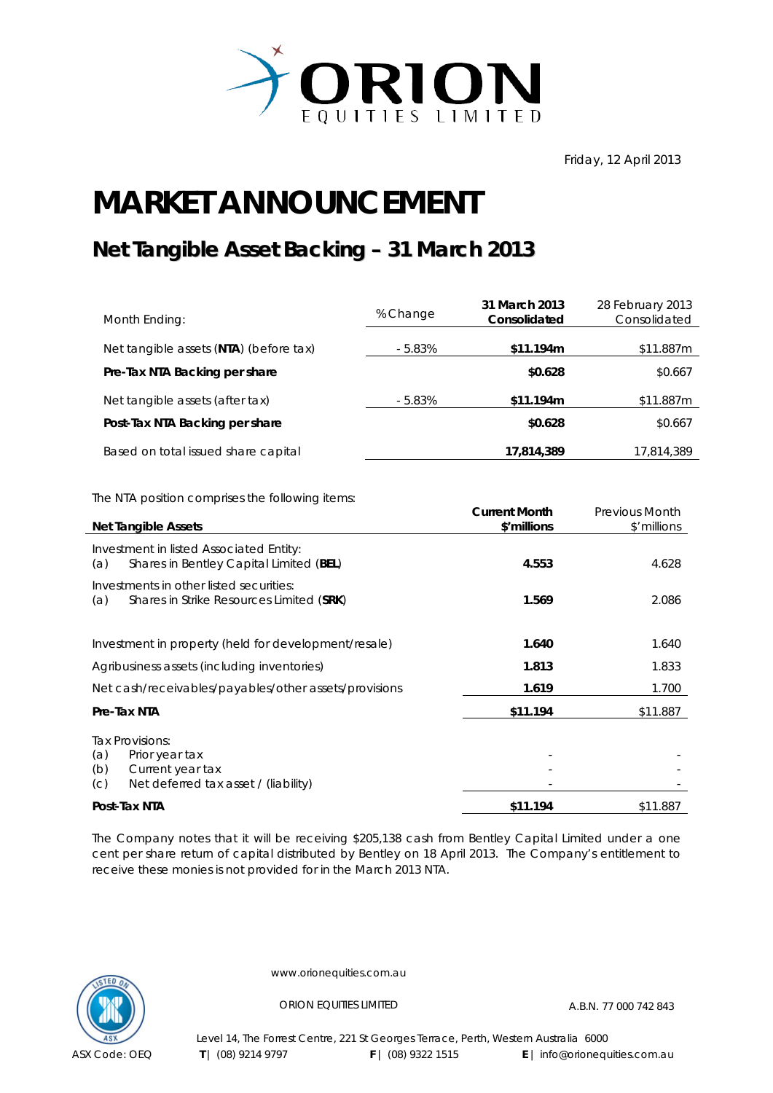

Friday, 12 April 2013

## **MARKET ANNOUNCEMENT**

## **Net Tangible Asset Backing – 31 March 2013**

| Month Ending:                                                                            | % Change  | 31 March 2013<br>Consolidated       | 28 February 2013<br>Consolidated |
|------------------------------------------------------------------------------------------|-----------|-------------------------------------|----------------------------------|
| Net tangible assets (NTA) (before tax)                                                   | $-5.83%$  | \$11.194m                           | \$11.887m                        |
| Pre-Tax NTA Backing per share                                                            |           | \$0.628                             | \$0.667                          |
| Net tangible assets (after tax)                                                          | $-5.83\%$ | \$11.194m                           | \$11.887m                        |
| Post-Tax NTA Backing per share                                                           |           | \$0.628                             | \$0.667                          |
| Based on total issued share capital                                                      |           | 17,814,389                          | 17,814,389                       |
| The NTA position comprises the following items:                                          |           |                                     |                                  |
| Net Tangible Assets                                                                      |           | <b>Current Month</b><br>\$'millions | Previous Month<br>\$'millions    |
| Investment in listed Associated Entity:<br>$(a)$ Charas in Dentley Capital Limited (DEL) |           | A EED.                              | 1.622                            |

|                                             | Post-Tax NTA                                                                                  | \$11.194 | \$11.887 |
|---------------------------------------------|-----------------------------------------------------------------------------------------------|----------|----------|
| (a)<br>(b)<br>(C)                           | Tax Provisions:<br>Prior year tax<br>Current year tax<br>Net deferred tax asset / (liability) |          |          |
|                                             | Pre-Tax NTA                                                                                   | \$11.194 | \$11.887 |
|                                             | Net cash/receivables/payables/other assets/provisions                                         | 1.619    | 1.700    |
| Agribusiness assets (including inventories) |                                                                                               | 1.813    | 1.833    |
|                                             | Investment in property (held for development/resale)                                          | 1.640    | 1.640    |
| (a)                                         | Investments in other listed securities:<br>Shares in Strike Resources Limited (SRK)           | 1.569    | 2.086    |
| (a)                                         | Shares in Bentley Capital Limited (BEL)                                                       | 4.553    | 4.628    |

The Company notes that it will be receiving \$205,138 cash from Bentley Capital Limited under a one cent per share return of capital distributed by Bentley on 18 April 2013. The Company's entitlement to receive these monies is not provided for in the March 2013 NTA.



www.orionequities.com.au

ORION EQUITIES LIMITED A.B.N. 77 000 742 843